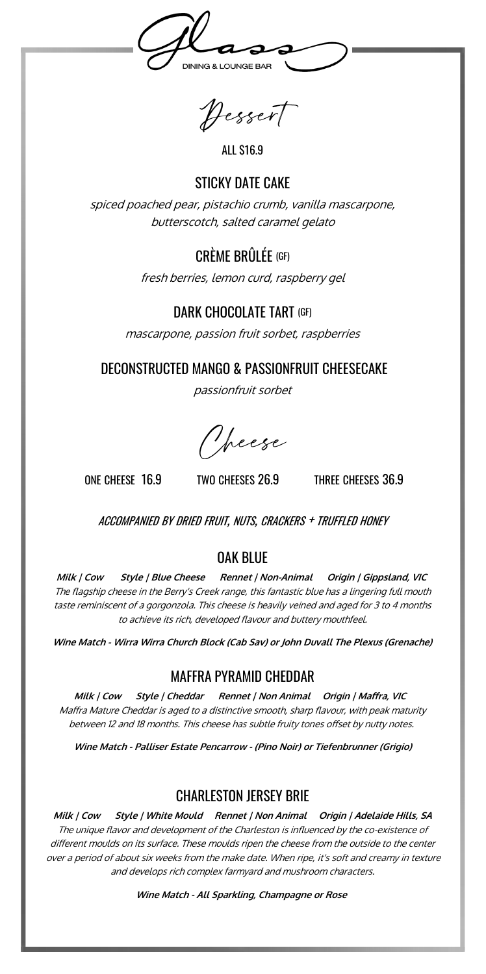**DINING & LOUNGE BAR** 

Dessert

ALL \$16.9

#### STICKY DATF CAKF

spiced poached pear, pistachio crumb, vanilla mascarpone, butterscotch, salted caramel gelato

# CRÈME BRÛLÉE (GF)

fresh berries, lemon curd, raspberry gel

### DARK CHOCOLATE TART (GF)

mascarpone, passion fruit sorbet, raspberries

DECONSTRUCTED MANGO & PASSIONFRUIT CHEESECAKE

passionfruit sorbet

Necse

ONE CHEESE 16.9 TWO CHEESES 26.9 THREE CHEESES 36.9

ACCOMPANIED BY DRIED FRUIT, NUTS, CRACKERS + TRUFFLED HONEY

# OAK BLUE

**Milk | Cow Style | Blue Cheese Rennet | Non-Animal Origin | Gippsland, VIC** The flagship cheese in the Berry's Creek range, this fantastic blue has a lingering full mouth taste reminiscent of a gorgonzola. This cheese is heavily veined and aged for 3 to 4 months to achieve its rich, developed flavour and buttery mouthfeel.

**Wine Match - Wirra Wirra Church Block (Cab Sav) or John Duvall The Plexus (Grenache)** 

#### MAFFRA PYRAMID CHEDDAR

**Milk | Cow Style | Cheddar Rennet | Non Animal Origin | Maffra, VIC**  Maffra Mature Cheddar is aged to a distinctive smooth, sharp flavour, with peak maturity between 12 and 18 months. This cheese has subtle fruity tones offset by nutty notes.

**Wine Match - Palliser Estate Pencarrow - (Pino Noir) or Tiefenbrunner (Grigio)**

# CHARLESTON JERSEY BRIE

**Milk | Cow Style | White Mould Rennet | Non Animal Origin | Adelaide Hills, SA** The unique flavor and development of the Charleston is influenced by the co-existence of different moulds on its surface. These moulds ripen the cheese from the outside to the center over a period of about six weeks from the make date. When ripe, it's soft and creamy in texture and develops rich complex farmyard and mushroom characters.

**Wine Match - All Sparkling, Champagne or Rose**